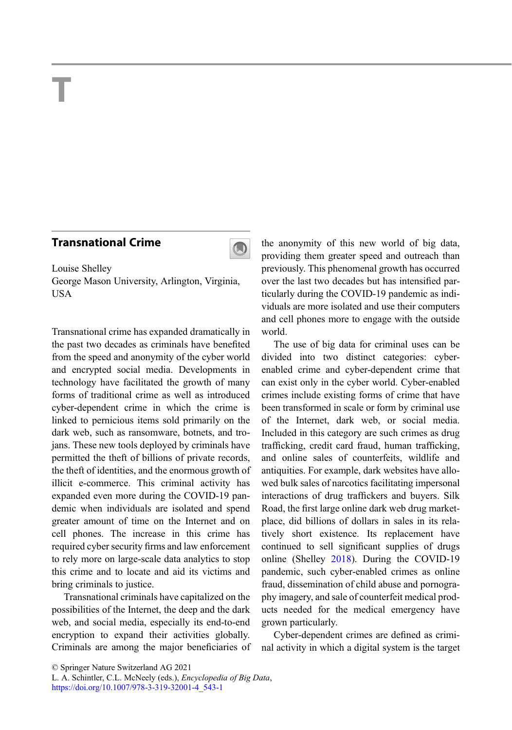## T

## Transnational Crime



Louise Shelley George Mason University, Arlington, Virginia, USA

Transnational crime has expanded dramatically in the past two decades as criminals have benefited from the speed and anonymity of the cyber world and encrypted social media. Developments in technology have facilitated the growth of many forms of traditional crime as well as introduced cyber-dependent crime in which the crime is linked to pernicious items sold primarily on the dark web, such as ransomware, botnets, and trojans. These new tools deployed by criminals have permitted the theft of billions of private records, the theft of identities, and the enormous growth of illicit e-commerce. This criminal activity has expanded even more during the COVID-19 pandemic when individuals are isolated and spend greater amount of time on the Internet and on cell phones. The increase in this crime has required cyber security firms and law enforcement to rely more on large-scale data analytics to stop this crime and to locate and aid its victims and bring criminals to justice.

Transnational criminals have capitalized on the possibilities of the Internet, the deep and the dark web, and social media, especially its end-to-end encryption to expand their activities globally. Criminals are among the major beneficiaries of the anonymity of this new world of big data, providing them greater speed and outreach than previously. This phenomenal growth has occurred over the last two decades but has intensified particularly during the COVID-19 pandemic as individuals are more isolated and use their computers and cell phones more to engage with the outside world.

The use of big data for criminal uses can be divided into two distinct categories: cyberenabled crime and cyber-dependent crime that can exist only in the cyber world. Cyber-enabled crimes include existing forms of crime that have been transformed in scale or form by criminal use of the Internet, dark web, or social media. Included in this category are such crimes as drug trafficking, credit card fraud, human trafficking, and online sales of counterfeits, wildlife and antiquities. For example, dark websites have allowed bulk sales of narcotics facilitating impersonal interactions of drug traffickers and buyers. Silk Road, the first large online dark web drug marketplace, did billions of dollars in sales in its relatively short existence. Its replacement have continued to sell significant supplies of drugs online (Shelley [2018\)](#page-1-0). During the COVID-19 pandemic, such cyber-enabled crimes as online fraud, dissemination of child abuse and pornography imagery, and sale of counterfeit medical products needed for the medical emergency have grown particularly.

Cyber-dependent crimes are defined as criminal activity in which a digital system is the target

<sup>©</sup> Springer Nature Switzerland AG 2021

L. A. Schintler, C.L. McNeely (eds.), Encyclopedia of Big Data, [https://doi.org/10.1007/978-3-319-32001-4\\_543-1](https://doi.org/10.1007/978-3-319-32001-4_543-1)